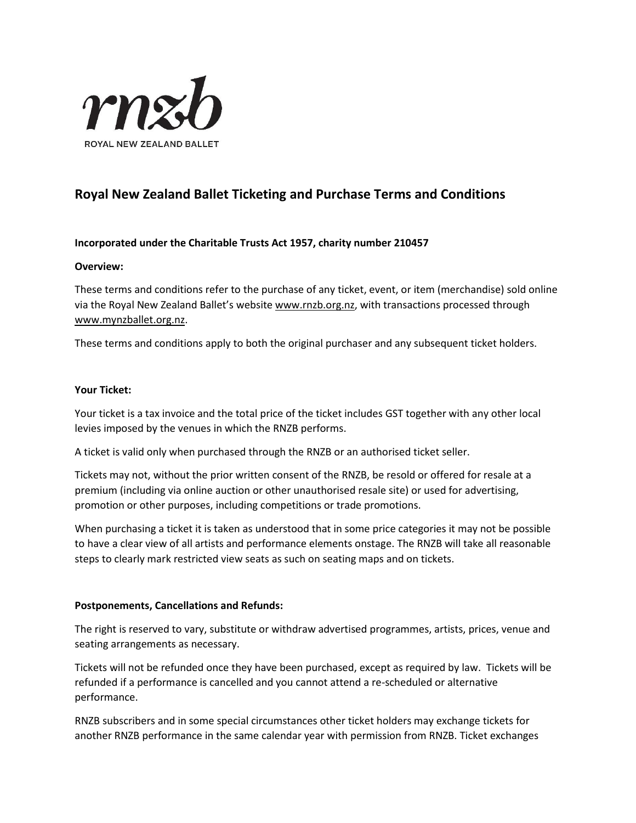

# **Royal New Zealand Ballet Ticketing and Purchase Terms and Conditions**

# **Incorporated under the Charitable Trusts Act 1957, charity number 210457**

#### **Overview:**

These terms and conditions refer to the purchase of any ticket, event, or item (merchandise) sold online via the Royal New Zealand Ballet's website [www.rnzb.org.nz,](http://www.rnzb.org.nz/) with transactions processed through [www.mynzballet.org.nz.](http://www.mynzballet.org.nz/)

These terms and conditions apply to both the original purchaser and any subsequent ticket holders.

## **Your Ticket:**

Your ticket is a tax invoice and the total price of the ticket includes GST together with any other local levies imposed by the venues in which the RNZB performs.

A ticket is valid only when purchased through the RNZB or an authorised ticket seller.

Tickets may not, without the prior written consent of the RNZB, be resold or offered for resale at a premium (including via online auction or other unauthorised resale site) or used for advertising, promotion or other purposes, including competitions or trade promotions.

When purchasing a ticket it is taken as understood that in some price categories it may not be possible to have a clear view of all artists and performance elements onstage. The RNZB will take all reasonable steps to clearly mark restricted view seats as such on seating maps and on tickets.

# **Postponements, Cancellations and Refunds:**

The right is reserved to vary, substitute or withdraw advertised programmes, artists, prices, venue and seating arrangements as necessary.

Tickets will not be refunded once they have been purchased, except as required by law. Tickets will be refunded if a performance is cancelled and you cannot attend a re-scheduled or alternative performance.

RNZB subscribers and in some special circumstances other ticket holders may exchange tickets for another RNZB performance in the same calendar year with permission from RNZB. Ticket exchanges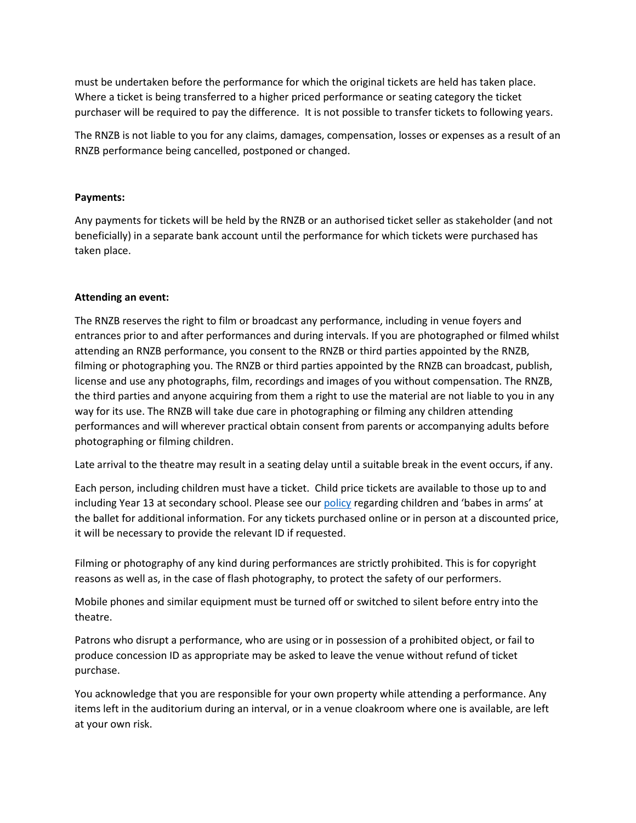must be undertaken before the performance for which the original tickets are held has taken place. Where a ticket is being transferred to a higher priced performance or seating category the ticket purchaser will be required to pay the difference. It is not possible to transfer tickets to following years.

The RNZB is not liable to you for any claims, damages, compensation, losses or expenses as a result of an RNZB performance being cancelled, postponed or changed.

# **Payments:**

Any payments for tickets will be held by the RNZB or an authorised ticket seller as stakeholder (and not beneficially) in a separate bank account until the performance for which tickets were purchased has taken place.

# **Attending an event:**

The RNZB reserves the right to film or broadcast any performance, including in venue foyers and entrances prior to and after performances and during intervals. If you are photographed or filmed whilst attending an RNZB performance, you consent to the RNZB or third parties appointed by the RNZB, filming or photographing you. The RNZB or third parties appointed by the RNZB can broadcast, publish, license and use any photographs, film, recordings and images of you without compensation. The RNZB, the third parties and anyone acquiring from them a right to use the material are not liable to you in any way for its use. The RNZB will take due care in photographing or filming any children attending performances and will wherever practical obtain consent from parents or accompanying adults before photographing or filming children.

Late arrival to the theatre may result in a seating delay until a suitable break in the event occurs, if any.

Each person, including children must have a ticket. Child price tickets are available to those up to and including Year 13 at secondary school. Please see our [policy](http://rnzb.org.nz/wp-content/uploads/2019/03/Babes-in-Arms-and-Children-at-the-ballet.pdf) regarding children and 'babes in arms' at the ballet for additional information. For any tickets purchased online or in person at a discounted price, it will be necessary to provide the relevant ID if requested.

Filming or photography of any kind during performances are strictly prohibited. This is for copyright reasons as well as, in the case of flash photography, to protect the safety of our performers.

Mobile phones and similar equipment must be turned off or switched to silent before entry into the theatre.

Patrons who disrupt a performance, who are using or in possession of a prohibited object, or fail to produce concession ID as appropriate may be asked to leave the venue without refund of ticket purchase.

You acknowledge that you are responsible for your own property while attending a performance. Any items left in the auditorium during an interval, or in a venue cloakroom where one is available, are left at your own risk.